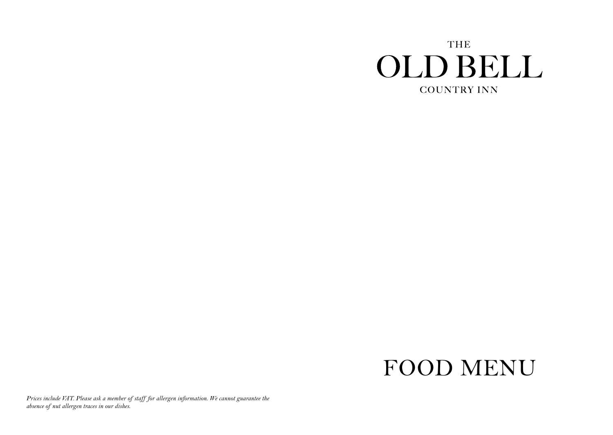## **THE OLD BELL COUNTRY INN**

# FOOD MENU

*Prices include VAT. Please ask a member of staff for allergen information. We cannot guarantee the absence of nut allergen traces in our dishes.*